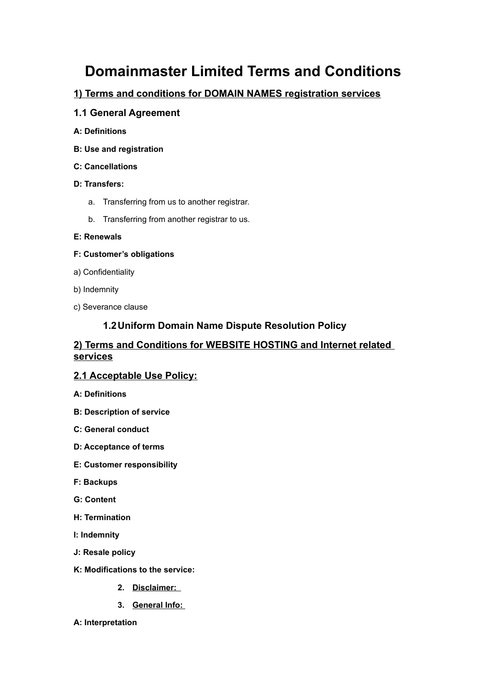# **Domainmaster Limited Terms and Conditions**

# **1) Terms and conditions for DOMAIN NAMES registration services**

## **1.1 General Agreement**

- **A: Definitions**
- **B: Use and registration**
- **C: Cancellations**
- **D: Transfers:**
	- a. Transferring from us to another registrar.
	- b. Transferring from another registrar to us.

## **E: Renewals**

- **F: Customer's obligations**
- a) Confidentiality
- b) Indemnity
- c) Severance clause

# **1.2Uniform Domain Name Dispute Resolution Policy**

## **2) Terms and Conditions for WEBSITE HOSTING and Internet related services**

# **2.1 Acceptable Use Policy:**

- **A: Definitions**
- **B: Description of service**
- **C: General conduct**
- **D: Acceptance of terms**
- **E: Customer responsibility**
- **F: Backups**
- **G: Content**
- **H: Termination**
- **I: Indemnity**
- **J: Resale policy**
- **K: Modifications to the service:**
	- **2. Disclaimer:**
	- **3. General Info:**
- **A: Interpretation**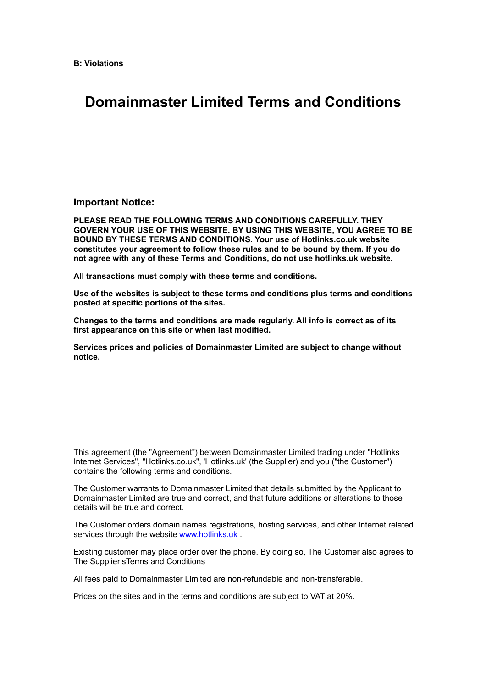# **Domainmaster Limited Terms and Conditions**

## **Important Notice:**

**PLEASE READ THE FOLLOWING TERMS AND CONDITIONS CAREFULLY. THEY GOVERN YOUR USE OF THIS WEBSITE. BY USING THIS WEBSITE, YOU AGREE TO BE BOUND BY THESE TERMS AND CONDITIONS. Your use of Hotlinks.co.uk website constitutes your agreement to follow these rules and to be bound by them. If you do not agree with any of these Terms and Conditions, do not use hotlinks.uk website.**

**All transactions must comply with these terms and conditions.**

**Use of the websites is subject to these terms and conditions plus terms and conditions posted at specific portions of the sites.**

**Changes to the terms and conditions are made regularly. All info is correct as of its first appearance on this site or when last modified.**

**Services prices and policies of Domainmaster Limited are subject to change without notice.**

This agreement (the "Agreement") between Domainmaster Limited trading under "Hotlinks Internet Services", "Hotlinks.co.uk", 'Hotlinks.uk' (the Supplier) and you ("the Customer") contains the following terms and conditions.

The Customer warrants to Domainmaster Limited that details submitted by the Applicant to Domainmaster Limited are true and correct, and that future additions or alterations to those details will be true and correct.

The Customer orders domain names registrations, hosting services, and other Internet related services through the website www.hotlinks.uk.

Existing customer may place order over the phone. By doing so, The Customer also agrees to The Supplier'sTerms and Conditions

All fees paid to Domainmaster Limited are non-refundable and non-transferable.

Prices on the sites and in the terms and conditions are subject to VAT at 20%.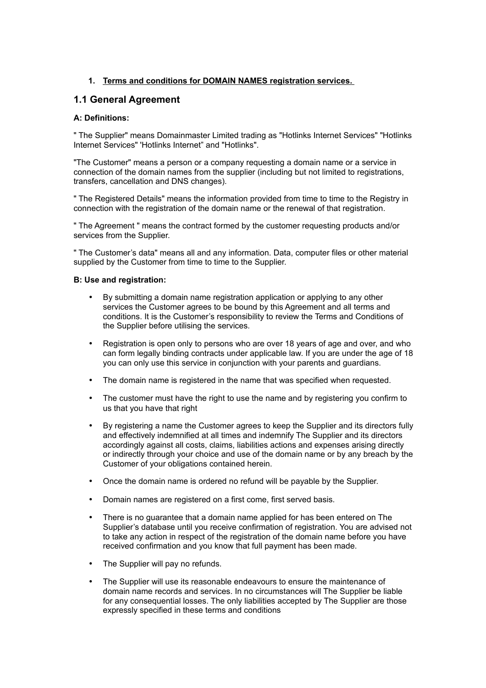## **1. Terms and conditions for DOMAIN NAMES registration services.**

## **1.1 General Agreement**

## **A: Definitions:**

" The Supplier" means Domainmaster Limited trading as "Hotlinks Internet Services" "Hotlinks Internet Services" 'Hotlinks Internet" and "Hotlinks".

"The Customer" means a person or a company requesting a domain name or a service in connection of the domain names from the supplier (including but not limited to registrations, transfers, cancellation and DNS changes).

" The Registered Details" means the information provided from time to time to the Registry in connection with the registration of the domain name or the renewal of that registration.

" The Agreement " means the contract formed by the customer requesting products and/or services from the Supplier.

" The Customer's data" means all and any information. Data, computer files or other material supplied by the Customer from time to time to the Supplier.

## **B: Use and registration:**

- By submitting a domain name registration application or applying to any other services the Customer agrees to be bound by this Agreement and all terms and conditions. It is the Customer's responsibility to review the Terms and Conditions of the Supplier before utilising the services.
- Registration is open only to persons who are over 18 years of age and over, and who can form legally binding contracts under applicable law. If you are under the age of 18 you can only use this service in conjunction with your parents and guardians.
- The domain name is registered in the name that was specified when requested.
- The customer must have the right to use the name and by registering you confirm to us that you have that right
- By registering a name the Customer agrees to keep the Supplier and its directors fully and effectively indemnified at all times and indemnify The Supplier and its directors accordingly against all costs, claims, liabilities actions and expenses arising directly or indirectly through your choice and use of the domain name or by any breach by the Customer of your obligations contained herein.
- Once the domain name is ordered no refund will be payable by the Supplier.
- Domain names are registered on a first come, first served basis.
- There is no guarantee that a domain name applied for has been entered on The Supplier's database until you receive confirmation of registration. You are advised not to take any action in respect of the registration of the domain name before you have received confirmation and you know that full payment has been made.
- The Supplier will pay no refunds.
- The Supplier will use its reasonable endeavours to ensure the maintenance of domain name records and services. In no circumstances will The Supplier be liable for any consequential losses. The only liabilities accepted by The Supplier are those expressly specified in these terms and conditions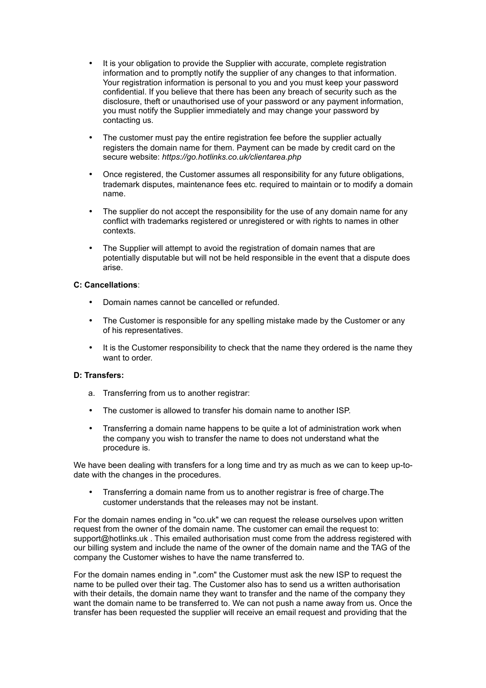- It is your obligation to provide the Supplier with accurate, complete registration information and to promptly notify the supplier of any changes to that information. Your registration information is personal to you and you must keep your password confidential. If you believe that there has been any breach of security such as the disclosure, theft or unauthorised use of your password or any payment information, you must notify the Supplier immediately and may change your password by contacting us.
- The customer must pay the entire registration fee before the supplier actually registers the domain name for them. Payment can be made by credit card on the secure website: *https://go.hotlinks.co.uk/clientarea.php*
- Once registered, the Customer assumes all responsibility for any future obligations, trademark disputes, maintenance fees etc. required to maintain or to modify a domain name.
- The supplier do not accept the responsibility for the use of any domain name for any conflict with trademarks registered or unregistered or with rights to names in other contexts.
- The Supplier will attempt to avoid the registration of domain names that are potentially disputable but will not be held responsible in the event that a dispute does arise.

## **C: Cancellations**:

- Domain names cannot be cancelled or refunded.
- The Customer is responsible for any spelling mistake made by the Customer or any of his representatives.
- It is the Customer responsibility to check that the name they ordered is the name they want to order.

## **D: Transfers:**

- a. Transferring from us to another registrar:
- The customer is allowed to transfer his domain name to another ISP.
- Transferring a domain name happens to be quite a lot of administration work when the company you wish to transfer the name to does not understand what the procedure is.

We have been dealing with transfers for a long time and try as much as we can to keep up-todate with the changes in the procedures.

• Transferring a domain name from us to another registrar is free of charge.The customer understands that the releases may not be instant.

For the domain names ending in "co.uk" we can request the release ourselves upon written request from the owner of the domain name. The customer can email the request to: support@hotlinks.uk . This emailed authorisation must come from the address registered with our billing system and include the name of the owner of the domain name and the TAG of the company the Customer wishes to have the name transferred to.

For the domain names ending in ".com" the Customer must ask the new ISP to request the name to be pulled over their tag. The Customer also has to send us a written authorisation with their details, the domain name they want to transfer and the name of the company they want the domain name to be transferred to. We can not push a name away from us. Once the transfer has been requested the supplier will receive an email request and providing that the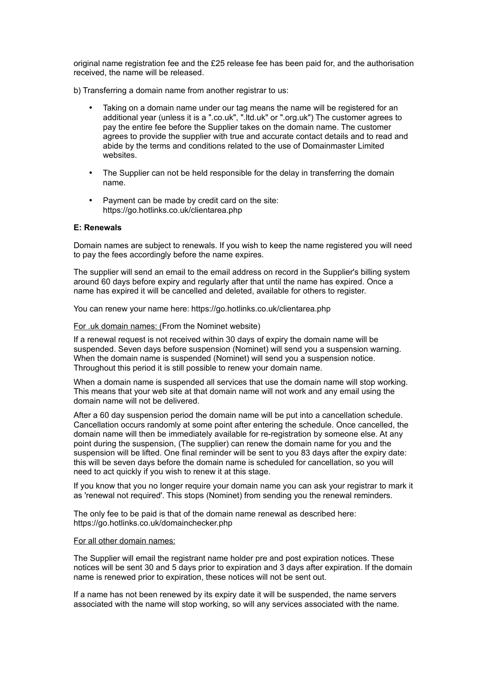original name registration fee and the £25 release fee has been paid for, and the authorisation received, the name will be released.

b) Transferring a domain name from another registrar to us:

- Taking on a domain name under our tag means the name will be registered for an additional year (unless it is a ".co.uk", ".ltd.uk" or ".org.uk") The customer agrees to pay the entire fee before the Supplier takes on the domain name. The customer agrees to provide the supplier with true and accurate contact details and to read and abide by the terms and conditions related to the use of Domainmaster Limited websites.
- The Supplier can not be held responsible for the delay in transferring the domain name.
- Payment can be made by credit card on the site: https://go.hotlinks.co.uk/clientarea.php

#### **E: Renewals**

Domain names are subject to renewals. If you wish to keep the name registered you will need to pay the fees accordingly before the name expires.

The supplier will send an email to the email address on record in the Supplier's billing system around 60 days before expiry and regularly after that until the name has expired. Once a name has expired it will be cancelled and deleted, available for others to register.

You can renew your name here: https://go.hotlinks.co.uk/clientarea.php

#### For .uk domain names: (From the Nominet website)

If a renewal request is not received within 30 days of expiry the domain name will be suspended. Seven days before suspension (Nominet) will send you a suspension warning. When the domain name is suspended (Nominet) will send you a suspension notice. Throughout this period it is still possible to renew your domain name.

When a domain name is suspended all services that use the domain name will stop working. This means that your web site at that domain name will not work and any email using the domain name will not be delivered.

After a 60 day suspension period the domain name will be put into a cancellation schedule. Cancellation occurs randomly at some point after entering the schedule. Once cancelled, the domain name will then be immediately available for re-registration by someone else. At any point during the suspension, (The supplier) can renew the domain name for you and the suspension will be lifted. One final reminder will be sent to you 83 days after the expiry date: this will be seven days before the domain name is scheduled for cancellation, so you will need to act quickly if you wish to renew it at this stage.

If you know that you no longer require your domain name you can ask your registrar to mark it as 'renewal not required'. This stops (Nominet) from sending you the renewal reminders.

The only fee to be paid is that of the domain name renewal as described here: https://go.hotlinks.co.uk/domainchecker.php

#### For all other domain names:

The Supplier will email the registrant name holder pre and post expiration notices. These notices will be sent 30 and 5 days prior to expiration and 3 days after expiration. If the domain name is renewed prior to expiration, these notices will not be sent out.

If a name has not been renewed by its expiry date it will be suspended, the name servers associated with the name will stop working, so will any services associated with the name.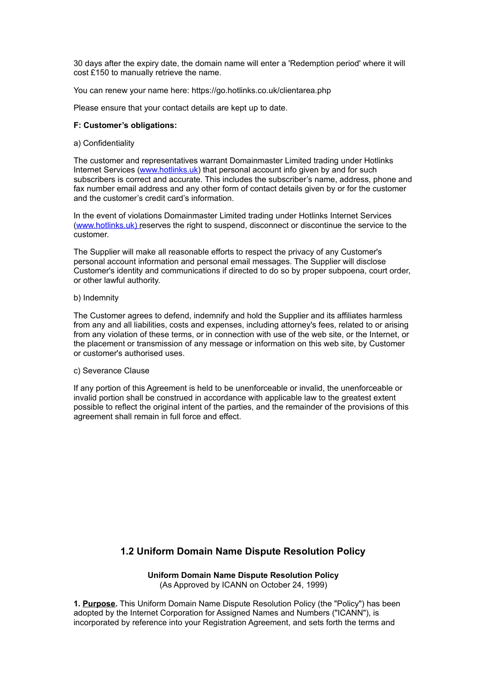30 days after the expiry date, the domain name will enter a 'Redemption period' where it will cost £150 to manually retrieve the name.

You can renew your name here: https://go.hotlinks.co.uk/clientarea.php

Please ensure that your contact details are kept up to date.

#### **F: Customer's obligations:**

a) Confidentiality

The customer and representatives warrant Domainmaster Limited trading under Hotlinks Internet Services [\(www.hotlinks.uk\)](http://www.hotlinks.co.uk/) that personal account info given by and for such subscribers is correct and accurate. This includes the subscriber's name, address, phone and fax number email address and any other form of contact details given by or for the customer and the customer's credit card's information.

In the event of violations Domainmaster Limited trading under Hotlinks Internet Services [\( www.hotlinks. u](http://www.hotlinks.co.uk/)k) reserves the right to suspend, disconnect or discontinue the service to the customer.

The Supplier will make all reasonable efforts to respect the privacy of any Customer's personal account information and personal email messages. The Supplier will disclose Customer's identity and communications if directed to do so by proper subpoena, court order, or other lawful authority.

b) Indemnity

The Customer agrees to defend, indemnify and hold the Supplier and its affiliates harmless from any and all liabilities, costs and expenses, including attorney's fees, related to or arising from any violation of these terms, or in connection with use of the web site, or the Internet, or the placement or transmission of any message or information on this web site, by Customer or customer's authorised uses.

#### c) Severance Clause

If any portion of this Agreement is held to be unenforceable or invalid, the unenforceable or invalid portion shall be construed in accordance with applicable law to the greatest extent possible to reflect the original intent of the parties, and the remainder of the provisions of this agreement shall remain in full force and effect.

## **1.2 Uniform Domain Name Dispute Resolution Policy**

#### **Uniform Domain Name Dispute Resolution Policy** (As Approved by ICANN on October 24, 1999)

**1. Purpose.** This Uniform Domain Name Dispute Resolution Policy (the "Policy") has been adopted by the Internet Corporation for Assigned Names and Numbers ("ICANN"), is incorporated by reference into your Registration Agreement, and sets forth the terms and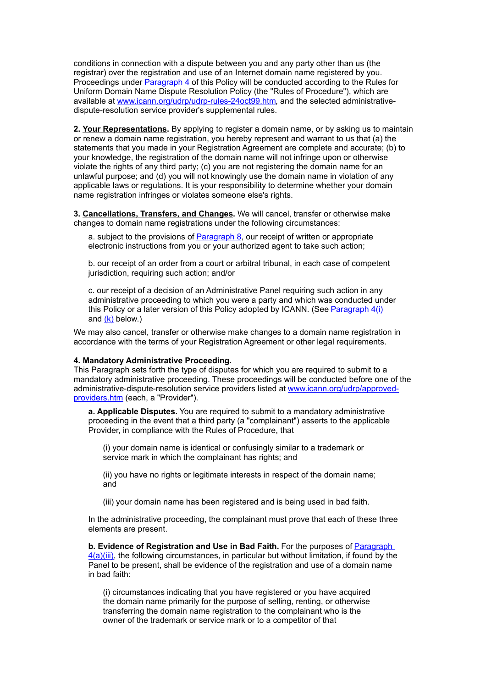<span id="page-6-4"></span>conditions in connection with a dispute between you and any party other than us (the registrar) over the registration and use of an Internet domain name registered by you. Proceedings under [Paragraph 4](#page-6-4) of this Policy will be conducted according to the Rules for Uniform Domain Name Dispute Resolution Policy (the "Rules of Procedure"), which are available at [www.icann.org/udrp/udrp-rules-24oct99.htm,](file:///Users/sylvaine/Desktop/Nominet TAG review/Companies Paperwork/DOMAINMASTER - HOTLINKS/misc/misc/udrp-rules-24oct99.htm) and the selected administrativedispute-resolution service provider's supplemental rules.

**2. Your Representations.** By applying to register a domain name, or by asking us to maintain or renew a domain name registration, you hereby represent and warrant to us that (a) the statements that you made in your Registration Agreement are complete and accurate; (b) to your knowledge, the registration of the domain name will not infringe upon or otherwise violate the rights of any third party; (c) you are not registering the domain name for an unlawful purpose; and (d) you will not knowingly use the domain name in violation of any applicable laws or regulations. It is your responsibility to determine whether your domain name registration infringes or violates someone else's rights.

**3. Cancellations, Transfers, and Changes.** We will cancel, transfer or otherwise make changes to domain name registrations under the following circumstances:

<span id="page-6-3"></span>a. subject to the provisions of [Paragraph 8,](#page-6-3) our receipt of written or appropriate electronic instructions from you or your authorized agent to take such action;

b. our receipt of an order from a court or arbitral tribunal, in each case of competent jurisdiction, requiring such action; and/or

<span id="page-6-2"></span><span id="page-6-1"></span>c. our receipt of a decision of an Administrative Panel requiring such action in any administrative proceeding to which you were a party and which was conducted under this Policy or a later version of this Policy adopted by ICANN. (See [Paragraph 4\(i\)](#page-6-2) and [\(k\)](#page-6-1) below.)

We may also cancel, transfer or otherwise make changes to a domain name registration in accordance with the terms of your Registration Agreement or other legal requirements.

#### **4. Mandatory Administrative Proceeding.**

This Paragraph sets forth the type of disputes for which you are required to submit to a mandatory administrative proceeding. These proceedings will be conducted before one of the administrative-dispute-resolution service providers listed at [www.icann.org/udrp/approved](file:///Users/sylvaine/Desktop/Nominet TAG review/Companies Paperwork/DOMAINMASTER - HOTLINKS/misc/misc/approved-providers.htm)[providers.htm](file:///Users/sylvaine/Desktop/Nominet TAG review/Companies Paperwork/DOMAINMASTER - HOTLINKS/misc/misc/approved-providers.htm) (each, a "Provider").

**a. Applicable Disputes.** You are required to submit to a mandatory administrative proceeding in the event that a third party (a "complainant") asserts to the applicable Provider, in compliance with the Rules of Procedure, that

(i) your domain name is identical or confusingly similar to a trademark or service mark in which the complainant has rights; and

(ii) you have no rights or legitimate interests in respect of the domain name; and

(iii) your domain name has been registered and is being used in bad faith.

In the administrative proceeding, the complainant must prove that each of these three elements are present.

<span id="page-6-0"></span>**b. Evidence of Registration and Use in Bad Faith.** For the purposes of [Paragraph](#page-6-0)  $4(a)$ (iii), the following circumstances, in particular but without limitation, if found by the Panel to be present, shall be evidence of the registration and use of a domain name in bad faith:

(i) circumstances indicating that you have registered or you have acquired the domain name primarily for the purpose of selling, renting, or otherwise transferring the domain name registration to the complainant who is the owner of the trademark or service mark or to a competitor of that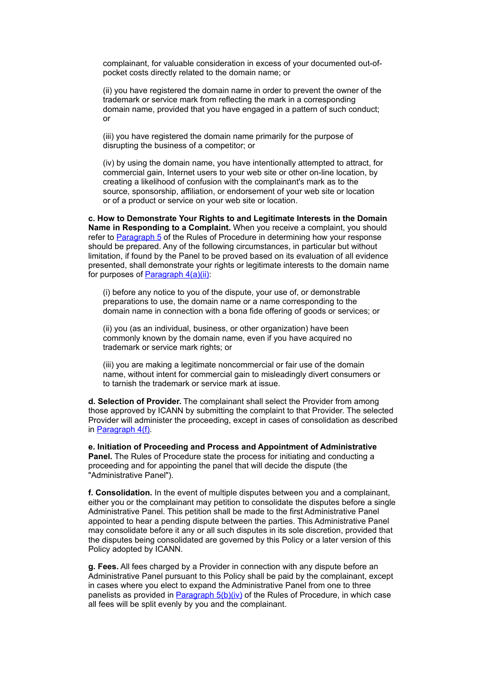complainant, for valuable consideration in excess of your documented out-ofpocket costs directly related to the domain name; or

(ii) you have registered the domain name in order to prevent the owner of the trademark or service mark from reflecting the mark in a corresponding domain name, provided that you have engaged in a pattern of such conduct; or

(iii) you have registered the domain name primarily for the purpose of disrupting the business of a competitor; or

(iv) by using the domain name, you have intentionally attempted to attract, for commercial gain, Internet users to your web site or other on-line location, by creating a likelihood of confusion with the complainant's mark as to the source, sponsorship, affiliation, or endorsement of your web site or location or of a product or service on your web site or location.

**c. How to Demonstrate Your Rights to and Legitimate Interests in the Domain Name in Responding to a Complaint.** When you receive a complaint, you should refer to [Paragraph 5](file:///Users/sylvaine/Desktop/Nominet TAG review/Companies Paperwork/DOMAINMASTER - HOTLINKS/misc/misc/udrp-rules-24oct99.htm#5) of the Rules of Procedure in determining how your response should be prepared. Any of the following circumstances, in particular but without limitation, if found by the Panel to be proved based on its evaluation of all evidence presented, shall demonstrate your rights or legitimate interests to the domain name for purposes of [Paragraph 4\(a\)\(ii\):](#page-7-1)

<span id="page-7-1"></span>(i) before any notice to you of the dispute, your use of, or demonstrable preparations to use, the domain name or a name corresponding to the domain name in connection with a bona fide offering of goods or services; or

(ii) you (as an individual, business, or other organization) have been commonly known by the domain name, even if you have acquired no trademark or service mark rights; or

(iii) you are making a legitimate noncommercial or fair use of the domain name, without intent for commercial gain to misleadingly divert consumers or to tarnish the trademark or service mark at issue.

**d. Selection of Provider.** The complainant shall select the Provider from among those approved by ICANN by submitting the complaint to that Provider. The selected Provider will administer the proceeding, except in cases of consolidation as described in [Paragraph 4\(f\).](#page-7-0)

<span id="page-7-0"></span>**e. Initiation of Proceeding and Process and Appointment of Administrative Panel.** The Rules of Procedure state the process for initiating and conducting a proceeding and for appointing the panel that will decide the dispute (the "Administrative Panel").

**f. Consolidation.** In the event of multiple disputes between you and a complainant, either you or the complainant may petition to consolidate the disputes before a single Administrative Panel. This petition shall be made to the first Administrative Panel appointed to hear a pending dispute between the parties. This Administrative Panel may consolidate before it any or all such disputes in its sole discretion, provided that the disputes being consolidated are governed by this Policy or a later version of this Policy adopted by ICANN.

**g. Fees.** All fees charged by a Provider in connection with any dispute before an Administrative Panel pursuant to this Policy shall be paid by the complainant, except in cases where you elect to expand the Administrative Panel from one to three panelists as provided in Paragraph  $5(b)(iv)$  of the Rules of Procedure, in which case all fees will be split evenly by you and the complainant.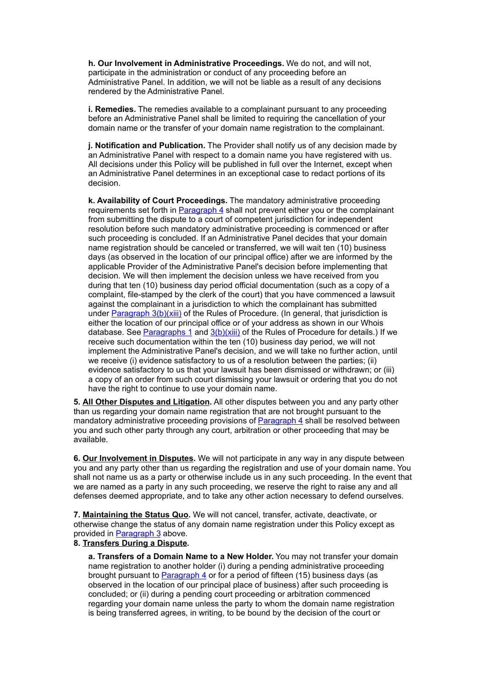**h. Our Involvement in Administrative Proceedings.** We do not, and will not, participate in the administration or conduct of any proceeding before an Administrative Panel. In addition, we will not be liable as a result of any decisions rendered by the Administrative Panel.

**i. Remedies.** The remedies available to a complainant pursuant to any proceeding before an Administrative Panel shall be limited to requiring the cancellation of your domain name or the transfer of your domain name registration to the complainant.

**j. Notification and Publication.** The Provider shall notify us of any decision made by an Administrative Panel with respect to a domain name you have registered with us. All decisions under this Policy will be published in full over the Internet, except when an Administrative Panel determines in an exceptional case to redact portions of its decision.

<span id="page-8-3"></span>**k. Availability of Court Proceedings.** The mandatory administrative proceeding requirements set forth in **Paragraph 4** shall not prevent either you or the complainant from submitting the dispute to a court of competent jurisdiction for independent resolution before such mandatory administrative proceeding is commenced or after such proceeding is concluded. If an Administrative Panel decides that your domain name registration should be canceled or transferred, we will wait ten (10) business days (as observed in the location of our principal office) after we are informed by the applicable Provider of the Administrative Panel's decision before implementing that decision. We will then implement the decision unless we have received from you during that ten (10) business day period official documentation (such as a copy of a complaint, file-stamped by the clerk of the court) that you have commenced a lawsuit against the complainant in a jurisdiction to which the complainant has submitted under [Paragraph 3\(b\)\(xiii\)](file:///Users/sylvaine/Desktop/Nominet TAG review/Companies Paperwork/DOMAINMASTER - HOTLINKS/misc/misc/udrp-rules-24oct99.htm#3bxiii) of the Rules of Procedure. (In general, that jurisdiction is either the location of our principal office or of your address as shown in our Whois database. See [Paragraphs 1](file:///Users/sylvaine/Desktop/Nominet TAG review/Companies Paperwork/DOMAINMASTER - HOTLINKS/misc/misc/udrp-rules-24oct99.htm#1MutualJurisdiction) and  $3(b)(xiii)$  of the Rules of Procedure for details.) If we receive such documentation within the ten (10) business day period, we will not implement the Administrative Panel's decision, and we will take no further action, until we receive (i) evidence satisfactory to us of a resolution between the parties; (ii) evidence satisfactory to us that your lawsuit has been dismissed or withdrawn; or (iii) a copy of an order from such court dismissing your lawsuit or ordering that you do not have the right to continue to use your domain name.

<span id="page-8-2"></span>**5. All Other Disputes and Litigation.** All other disputes between you and any party other than us regarding your domain name registration that are not brought pursuant to the mandatory administrative proceeding provisions of [Paragraph 4](#page-8-2) shall be resolved between you and such other party through any court, arbitration or other proceeding that may be available.

**6. Our Involvement in Disputes.** We will not participate in any way in any dispute between you and any party other than us regarding the registration and use of your domain name. You shall not name us as a party or otherwise include us in any such proceeding. In the event that we are named as a party in any such proceeding, we reserve the right to raise any and all defenses deemed appropriate, and to take any other action necessary to defend ourselves.

**7. Maintaining the Status Quo.** We will not cancel, transfer, activate, deactivate, or otherwise change the status of any domain name registration under this Policy except as provided in [Paragraph 3](#page-8-1) above.

## **8. Transfers During a Dispute.**

<span id="page-8-1"></span><span id="page-8-0"></span>**a. Transfers of a Domain Name to a New Holder.** You may not transfer your domain name registration to another holder (i) during a pending administrative proceeding brought pursuant to [Paragraph 4](#page-8-0) or for a period of fifteen (15) business days (as observed in the location of our principal place of business) after such proceeding is concluded; or (ii) during a pending court proceeding or arbitration commenced regarding your domain name unless the party to whom the domain name registration is being transferred agrees, in writing, to be bound by the decision of the court or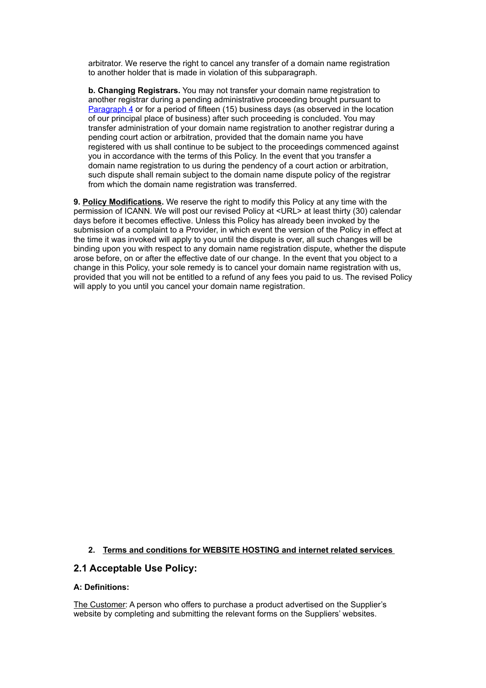arbitrator. We reserve the right to cancel any transfer of a domain name registration to another holder that is made in violation of this subparagraph.

<span id="page-9-0"></span>**b. Changing Registrars.** You may not transfer your domain name registration to another registrar during a pending administrative proceeding brought pursuant to [Paragraph 4](#page-9-0) or for a period of fifteen (15) business days (as observed in the location of our principal place of business) after such proceeding is concluded. You may transfer administration of your domain name registration to another registrar during a pending court action or arbitration, provided that the domain name you have registered with us shall continue to be subject to the proceedings commenced against you in accordance with the terms of this Policy. In the event that you transfer a domain name registration to us during the pendency of a court action or arbitration, such dispute shall remain subject to the domain name dispute policy of the registrar from which the domain name registration was transferred.

**9. Policy Modifications.** We reserve the right to modify this Policy at any time with the permission of ICANN. We will post our revised Policy at <URL> at least thirty (30) calendar days before it becomes effective. Unless this Policy has already been invoked by the submission of a complaint to a Provider, in which event the version of the Policy in effect at the time it was invoked will apply to you until the dispute is over, all such changes will be binding upon you with respect to any domain name registration dispute, whether the dispute arose before, on or after the effective date of our change. In the event that you object to a change in this Policy, your sole remedy is to cancel your domain name registration with us, provided that you will not be entitled to a refund of any fees you paid to us. The revised Policy will apply to you until you cancel your domain name registration.

## **2. Terms and conditions for WEBSITE HOSTING and internet related services**

## **2.1 Acceptable Use Policy:**

## **A: Definitions:**

The Customer: A person who offers to purchase a product advertised on the Supplier's website by completing and submitting the relevant forms on the Suppliers' websites.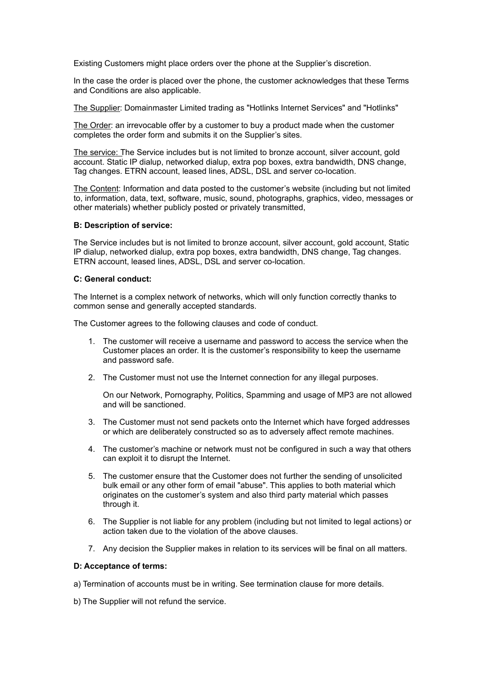Existing Customers might place orders over the phone at the Supplier's discretion.

In the case the order is placed over the phone, the customer acknowledges that these Terms and Conditions are also applicable.

The Supplier: Domainmaster Limited trading as "Hotlinks Internet Services" and "Hotlinks"

The Order: an irrevocable offer by a customer to buy a product made when the customer completes the order form and submits it on the Supplier's sites.

The service: The Service includes but is not limited to bronze account, silver account, gold account. Static IP dialup, networked dialup, extra pop boxes, extra bandwidth, DNS change, Tag changes. ETRN account, leased lines, ADSL, DSL and server co-location.

The Content: Information and data posted to the customer's website (including but not limited to, information, data, text, software, music, sound, photographs, graphics, video, messages or other materials) whether publicly posted or privately transmitted,

#### **B: Description of service:**

The Service includes but is not limited to bronze account, silver account, gold account, Static IP dialup, networked dialup, extra pop boxes, extra bandwidth, DNS change, Tag changes. ETRN account, leased lines, ADSL, DSL and server co-location.

#### **C: General conduct:**

The Internet is a complex network of networks, which will only function correctly thanks to common sense and generally accepted standards.

The Customer agrees to the following clauses and code of conduct.

- 1. The customer will receive a username and password to access the service when the Customer places an order. It is the customer's responsibility to keep the username and password safe.
- 2. The Customer must not use the Internet connection for any illegal purposes.

On our Network, Pornography, Politics, Spamming and usage of MP3 are not allowed and will be sanctioned.

- 3. The Customer must not send packets onto the Internet which have forged addresses or which are deliberately constructed so as to adversely affect remote machines.
- 4. The customer's machine or network must not be configured in such a way that others can exploit it to disrupt the Internet.
- 5. The customer ensure that the Customer does not further the sending of unsolicited bulk email or any other form of email "abuse". This applies to both material which originates on the customer's system and also third party material which passes through it.
- 6. The Supplier is not liable for any problem (including but not limited to legal actions) or action taken due to the violation of the above clauses.
- 7. Any decision the Supplier makes in relation to its services will be final on all matters.

## **D: Acceptance of terms:**

- a) Termination of accounts must be in writing. See termination clause for more details.
- b) The Supplier will not refund the service.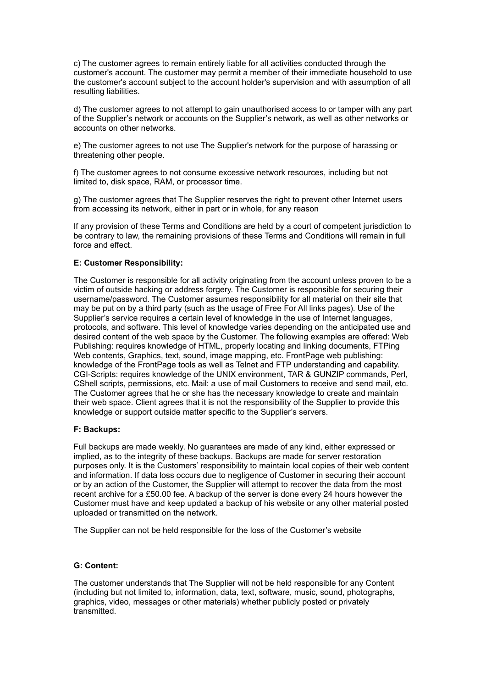c) The customer agrees to remain entirely liable for all activities conducted through the customer's account. The customer may permit a member of their immediate household to use the customer's account subject to the account holder's supervision and with assumption of all resulting liabilities.

d) The customer agrees to not attempt to gain unauthorised access to or tamper with any part of the Supplier's network or accounts on the Supplier's network, as well as other networks or accounts on other networks.

e) The customer agrees to not use The Supplier's network for the purpose of harassing or threatening other people.

f) The customer agrees to not consume excessive network resources, including but not limited to, disk space, RAM, or processor time.

g) The customer agrees that The Supplier reserves the right to prevent other Internet users from accessing its network, either in part or in whole, for any reason

If any provision of these Terms and Conditions are held by a court of competent jurisdiction to be contrary to law, the remaining provisions of these Terms and Conditions will remain in full force and effect.

## **E: Customer Responsibility:**

The Customer is responsible for all activity originating from the account unless proven to be a victim of outside hacking or address forgery. The Customer is responsible for securing their username/password. The Customer assumes responsibility for all material on their site that may be put on by a third party (such as the usage of Free For All links pages). Use of the Supplier's service requires a certain level of knowledge in the use of Internet languages, protocols, and software. This level of knowledge varies depending on the anticipated use and desired content of the web space by the Customer. The following examples are offered: Web Publishing: requires knowledge of HTML, properly locating and linking documents, FTPing Web contents, Graphics, text, sound, image mapping, etc. FrontPage web publishing: knowledge of the FrontPage tools as well as Telnet and FTP understanding and capability. CGI-Scripts: requires knowledge of the UNIX environment, TAR & GUNZIP commands, Perl, CShell scripts, permissions, etc. Mail: a use of mail Customers to receive and send mail, etc. The Customer agrees that he or she has the necessary knowledge to create and maintain their web space. Client agrees that it is not the responsibility of the Supplier to provide this knowledge or support outside matter specific to the Supplier's servers.

## **F: Backups:**

Full backups are made weekly. No guarantees are made of any kind, either expressed or implied, as to the integrity of these backups. Backups are made for server restoration purposes only. It is the Customers' responsibility to maintain local copies of their web content and information. If data loss occurs due to negligence of Customer in securing their account or by an action of the Customer, the Supplier will attempt to recover the data from the most recent archive for a £50.00 fee. A backup of the server is done every 24 hours however the Customer must have and keep updated a backup of his website or any other material posted uploaded or transmitted on the network.

The Supplier can not be held responsible for the loss of the Customer's website

## **G: Content:**

The customer understands that The Supplier will not be held responsible for any Content (including but not limited to, information, data, text, software, music, sound, photographs, graphics, video, messages or other materials) whether publicly posted or privately transmitted.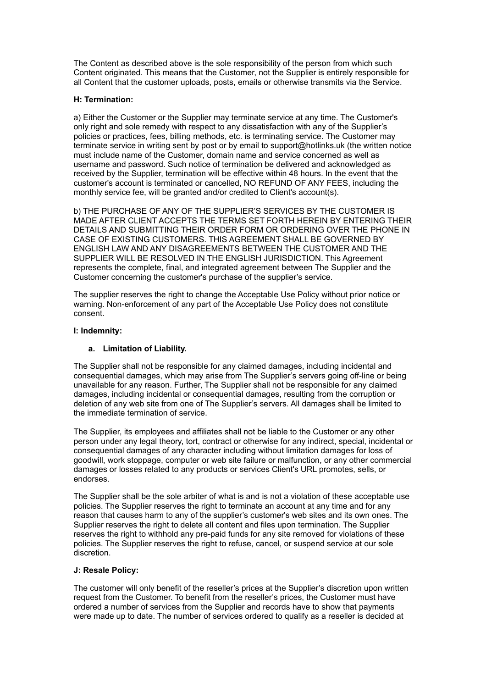The Content as described above is the sole responsibility of the person from which such Content originated. This means that the Customer, not the Supplier is entirely responsible for all Content that the customer uploads, posts, emails or otherwise transmits via the Service.

## **H: Termination:**

a) Either the Customer or the Supplier may terminate service at any time. The Customer's only right and sole remedy with respect to any dissatisfaction with any of the Supplier's policies or practices, fees, billing methods, etc. is terminating service. The Customer may terminate service in writing sent by post or by email to support@hotlinks.uk (the written notice must include name of the Customer, domain name and service concerned as well as username and password. Such notice of termination be delivered and acknowledged as received by the Supplier, termination will be effective within 48 hours. In the event that the customer's account is terminated or cancelled, NO REFUND OF ANY FEES, including the monthly service fee, will be granted and/or credited to Client's account(s).

b) THE PURCHASE OF ANY OF THE SUPPLIER'S SERVICES BY THE CUSTOMER IS MADE AFTER CLIENT ACCEPTS THE TERMS SET FORTH HEREIN BY ENTERING THEIR DETAILS AND SUBMITTING THEIR ORDER FORM OR ORDERING OVER THE PHONE IN CASE OF EXISTING CUSTOMERS. THIS AGREEMENT SHALL BE GOVERNED BY ENGLISH LAW AND ANY DISAGREEMENTS BETWEEN THE CUSTOMER AND THE SUPPLIER WILL BE RESOLVED IN THE ENGLISH JURISDICTION. This Agreement represents the complete, final, and integrated agreement between The Supplier and the Customer concerning the customer's purchase of the supplier's service.

The supplier reserves the right to change the Acceptable Use Policy without prior notice or warning. Non-enforcement of any part of the Acceptable Use Policy does not constitute consent.

## **I: Indemnity:**

## **a. Limitation of Liability.**

The Supplier shall not be responsible for any claimed damages, including incidental and consequential damages, which may arise from The Supplier's servers going off-line or being unavailable for any reason. Further, The Supplier shall not be responsible for any claimed damages, including incidental or consequential damages, resulting from the corruption or deletion of any web site from one of The Supplier's servers. All damages shall be limited to the immediate termination of service.

The Supplier, its employees and affiliates shall not be liable to the Customer or any other person under any legal theory, tort, contract or otherwise for any indirect, special, incidental or consequential damages of any character including without limitation damages for loss of goodwill, work stoppage, computer or web site failure or malfunction, or any other commercial damages or losses related to any products or services Client's URL promotes, sells, or endorses.

The Supplier shall be the sole arbiter of what is and is not a violation of these acceptable use policies. The Supplier reserves the right to terminate an account at any time and for any reason that causes harm to any of the supplier's customer's web sites and its own ones. The Supplier reserves the right to delete all content and files upon termination. The Supplier reserves the right to withhold any pre-paid funds for any site removed for violations of these policies. The Supplier reserves the right to refuse, cancel, or suspend service at our sole discretion.

## **J: Resale Policy:**

The customer will only benefit of the reseller's prices at the Supplier's discretion upon written request from the Customer. To benefit from the reseller's prices, the Customer must have ordered a number of services from the Supplier and records have to show that payments were made up to date. The number of services ordered to qualify as a reseller is decided at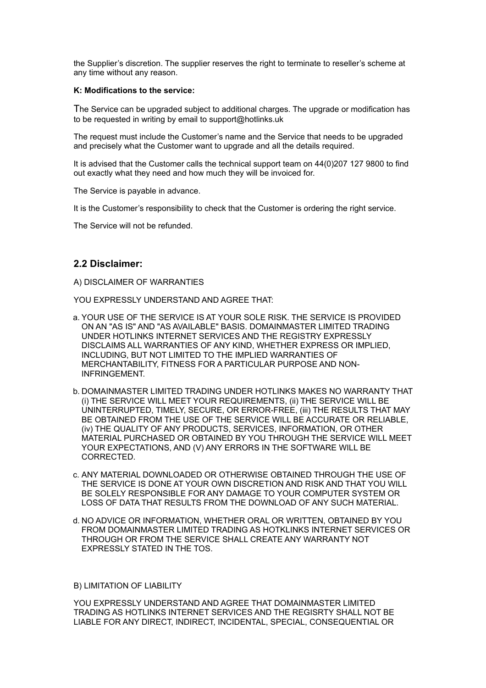the Supplier's discretion. The supplier reserves the right to terminate to reseller's scheme at any time without any reason.

## **K: Modifications to the service:**

The Service can be upgraded subject to additional charges. The upgrade or modification has to be requested in writing by email to support@hotlinks.uk

The request must include the Customer's name and the Service that needs to be upgraded and precisely what the Customer want to upgrade and all the details required.

It is advised that the Customer calls the technical support team on 44(0)207 127 9800 to find out exactly what they need and how much they will be invoiced for.

The Service is payable in advance.

It is the Customer's responsibility to check that the Customer is ordering the right service.

The Service will not be refunded.

## **2.2 Disclaimer:**

A) DISCLAIMER OF WARRANTIES

YOU EXPRESSLY UNDERSTAND AND AGREE THAT:

- a. YOUR USE OF THE SERVICE IS AT YOUR SOLE RISK. THE SERVICE IS PROVIDED ON AN "AS IS" AND "AS AVAILABLE" BASIS. DOMAINMASTER LIMITED TRADING UNDER HOTLINKS INTERNET SERVICES AND THE REGISTRY EXPRESSLY DISCLAIMS ALL WARRANTIES OF ANY KIND, WHETHER EXPRESS OR IMPLIED, INCLUDING, BUT NOT LIMITED TO THE IMPLIED WARRANTIES OF MERCHANTABILITY, FITNESS FOR A PARTICULAR PURPOSE AND NON-INFRINGEMENT.
- b. DOMAINMASTER LIMITED TRADING UNDER HOTLINKS MAKES NO WARRANTY THAT (i) THE SERVICE WILL MEET YOUR REQUIREMENTS, (ii) THE SERVICE WILL BE UNINTERRUPTED, TIMELY, SECURE, OR ERROR-FREE, (iii) THE RESULTS THAT MAY BE OBTAINED FROM THE USE OF THE SERVICE WILL BE ACCURATE OR RELIABLE, (iv) THE QUALITY OF ANY PRODUCTS, SERVICES, INFORMATION, OR OTHER MATERIAL PURCHASED OR OBTAINED BY YOU THROUGH THE SERVICE WILL MEET YOUR EXPECTATIONS, AND (V) ANY ERRORS IN THE SOFTWARE WILL BE CORRECTED.
- c. ANY MATERIAL DOWNLOADED OR OTHERWISE OBTAINED THROUGH THE USE OF THE SERVICE IS DONE AT YOUR OWN DISCRETION AND RISK AND THAT YOU WILL BE SOLELY RESPONSIBLE FOR ANY DAMAGE TO YOUR COMPUTER SYSTEM OR LOSS OF DATA THAT RESULTS FROM THE DOWNLOAD OF ANY SUCH MATERIAL.
- d. NO ADVICE OR INFORMATION, WHETHER ORAL OR WRITTEN, OBTAINED BY YOU FROM DOMAINMASTER LIMITED TRADING AS HOTKLINKS INTERNET SERVICES OR THROUGH OR FROM THE SERVICE SHALL CREATE ANY WARRANTY NOT EXPRESSLY STATED IN THE TOS.

#### B) LIMITATION OF LIABILITY

YOU EXPRESSLY UNDERSTAND AND AGREE THAT DOMAINMASTER LIMITED TRADING AS HOTLINKS INTERNET SERVICES AND THE REGISRTY SHALL NOT BE LIABLE FOR ANY DIRECT, INDIRECT, INCIDENTAL, SPECIAL, CONSEQUENTIAL OR